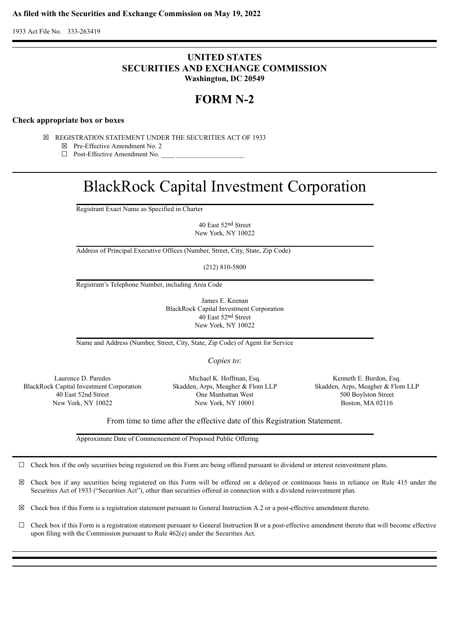1933 Act File No. 333-263419

## **UNITED STATES SECURITIES AND EXCHANGE COMMISSION Washington, DC 20549**

# **FORM N-2**

## **Check appropriate box or boxes**

- ☒ REGISTRATION STATEMENT UNDER THE SECURITIES ACT OF 1933
	- ☒ Pre-Effective Amendment No. 2
	- □ Post-Effective Amendment No.

# BlackRock Capital Investment Corporation

Registrant Exact Name as Specified in Charter

40 East 52nd Street New York, NY 10022

Address of Principal Executive Offices (Number, Street, City, State, Zip Code)

(212) 810-5800

Registrant's Telephone Number, including Area Code

James E. Keenan BlackRock Capital Investment Corporation 40 East 52nd Street New York, NY 10022

Name and Address (Number, Street, City, State, Zip Code) of Agent for Service

*Copies to*:

BlackRock Capital Investment Corporation Skadden, Arps, Meagher & Flom LLP Skadden, Arps, Meagher & Flom LLP

Laurence D. Paredes Michael K. Hoffman, Esq. Kenneth E. Burdon, Esq. 40 East 52nd Street One Manhattan West 500 Boylston Street New York, NY 10022 New York, NY 10001 Boston, MA 02116

From time to time after the effective date of this Registration Statement.

Approximate Date of Commencement of Proposed Public Offering

 $\Box$  Check box if the only securities being registered on this Form are being offered pursuant to dividend or interest reinvestment plans.

☒ Check box if any securities being registered on this Form will be offered on a delayed or continuous basis in reliance on Rule 415 under the Securities Act of 1933 ("Securities Act"), other than securities offered in connection with a dividend reinvestment plan.

 $\boxtimes$  Check box if this Form is a registration statement pursuant to General Instruction A.2 or a post-effective amendment thereto.

☐ Check box if this Form is a registration statement pursuant to General Instruction B or a post-effective amendment thereto that will become effective upon filing with the Commission pursuant to Rule 462(e) under the Securities Act.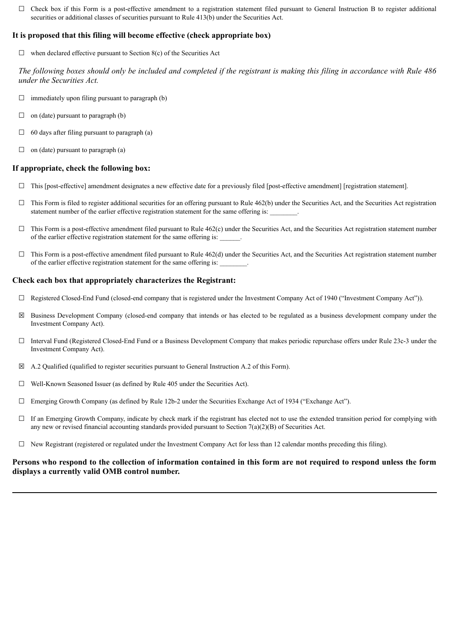$\Box$  Check box if this Form is a post-effective amendment to a registration statement filed pursuant to General Instruction B to register additional securities or additional classes of securities pursuant to Rule 413(b) under the Securities Act.

## **It is proposed that this filing will become effective (check appropriate box)**

 $\Box$  when declared effective pursuant to Section 8(c) of the Securities Act

*The following boxes should only be included and completed if the registrant is making this filing in accordance with Rule 486 under the Securities Act.*

- $\Box$  immediately upon filing pursuant to paragraph (b)
- $\Box$  on (date) pursuant to paragraph (b)
- $\Box$  60 days after filing pursuant to paragraph (a)
- $\Box$  on (date) pursuant to paragraph (a)

## **If appropriate, check the following box:**

- ☐ This [post-effective] amendment designates a new effective date for a previously filed [post-effective amendment] [registration statement].
- $\Box$  This Form is filed to register additional securities for an offering pursuant to Rule 462(b) under the Securities Act, and the Securities Act registration statement number of the earlier effective registration statement for the same offering is:
- $\Box$  This Form is a post-effective amendment filed pursuant to Rule 462(c) under the Securities Act, and the Securities Act registration statement number of the earlier effective registration statement for the same offering is:
- $\Box$  This Form is a post-effective amendment filed pursuant to Rule 462(d) under the Securities Act, and the Securities Act registration statement number of the earlier effective registration statement for the same offering is:

## **Check each box that appropriately characterizes the Registrant:**

- ☐ Registered Closed-End Fund (closed-end company that is registered under the Investment Company Act of 1940 ("Investment Company Act")).
- $\boxtimes$  Business Development Company (closed-end company that intends or has elected to be regulated as a business development company under the Investment Company Act).
- ☐ Interval Fund (Registered Closed-End Fund or a Business Development Company that makes periodic repurchase offers under Rule 23c-3 under the Investment Company Act).
- $\boxtimes$  A.2 Qualified (qualified to register securities pursuant to General Instruction A.2 of this Form).
- ☐ Well-Known Seasoned Issuer (as defined by Rule 405 under the Securities Act).
- ☐ Emerging Growth Company (as defined by Rule 12b-2 under the Securities Exchange Act of 1934 ("Exchange Act").
- $\Box$  If an Emerging Growth Company, indicate by check mark if the registrant has elected not to use the extended transition period for complying with any new or revised financial accounting standards provided pursuant to Section  $7(a)(2)(B)$  of Securities Act.
- $\Box$  New Registrant (registered or regulated under the Investment Company Act for less than 12 calendar months preceding this filing).

## **Persons who respond to the collection of information contained in this form are not required to respond unless the form displays a currently valid OMB control number.**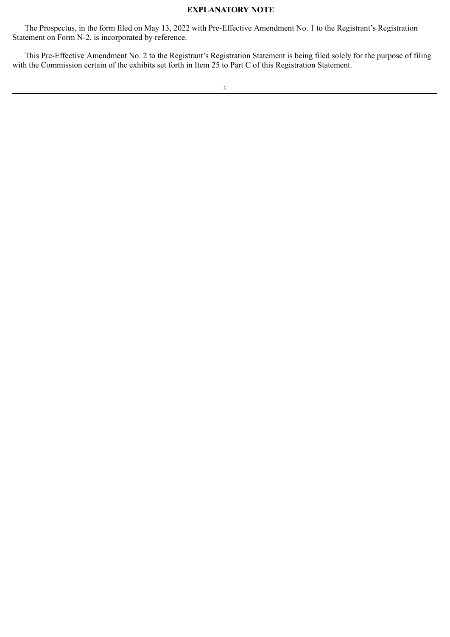## **EXPLANATORY NOTE**

The Prospectus, in the form filed on May 13, 2022 with Pre-Effective Amendment No. 1 to the Registrant's Registration Statement on Form N-2, is incorporated by reference.

This Pre-Effective Amendment No. 2 to the Registrant's Registration Statement is being filed solely for the purpose of filing with the Commission certain of the exhibits set forth in Item 25 to Part C of this Registration Statement.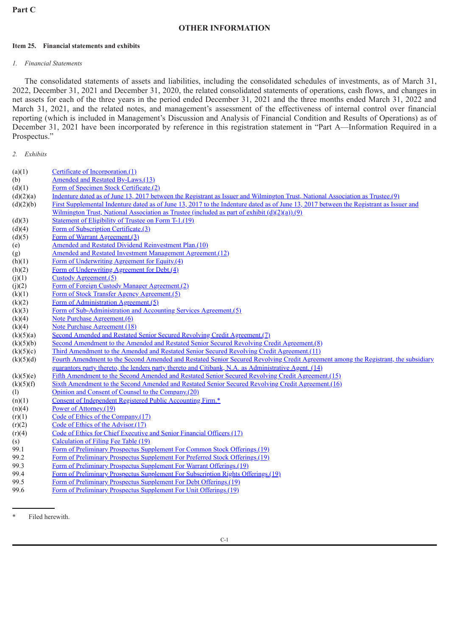## **OTHER INFORMATION**

#### **Item 25. Financial statements and exhibits**

## *1. Financial Statements*

The consolidated statements of assets and liabilities, including the consolidated schedules of investments, as of March 31, 2022, December 31, 2021 and December 31, 2020, the related consolidated statements of operations, cash flows, and changes in net assets for each of the three years in the period ended December 31, 2021 and the three months ended March 31, 2022 and March 31, 2021, and the related notes, and management's assessment of the effectiveness of internal control over financial reporting (which is included in Management's Discussion and Analysis of Financial Condition and Results of Operations) as of December 31, 2021 have been incorporated by reference in this registration statement in "Part A—Information Required in a Prospectus."

## *2. Exhibits*

| (a)(1)    | Certificate of Incorporation.(1)                                                                                                       |  |  |
|-----------|----------------------------------------------------------------------------------------------------------------------------------------|--|--|
| (b)       | Amended and Restated By-Laws.(13)                                                                                                      |  |  |
| (d)(1)    | Form of Specimen Stock Certificate.(2)                                                                                                 |  |  |
| (d)(2)(a) | Indenture dated as of June 13, 2017 between the Registrant as Issuer and Wilmington Trust, National Association as Trustee.(9)         |  |  |
| (d)(2)(b) | First Supplemental Indenture dated as of June 13, 2017 to the Indenture dated as of June 13, 2017 between the Registrant as Issuer and |  |  |
|           | Wilmington Trust, National Association as Trustee (included as part of exhibit $(d)(2)(a)$ ).(9)                                       |  |  |
| (d)(3)    | Statement of Eligibility of Trustee on Form T-1.(19)                                                                                   |  |  |
| (d)(4)    | Form of Subscription Certificate.(3)                                                                                                   |  |  |
| (d)(5)    | Form of Warrant Agreement.(3)                                                                                                          |  |  |
| (e)       | Amended and Restated Dividend Reinvestment Plan.(10)                                                                                   |  |  |
| (g)       | Amended and Restated Investment Management Agreement.(12)                                                                              |  |  |
| (h)(1)    | Form of Underwriting Agreement for Equity (4)                                                                                          |  |  |
| (h)(2)    | Form of Underwriting Agreement for Debt.(4)                                                                                            |  |  |
| (j)(1)    | Custody Agreement. $(5)$                                                                                                               |  |  |
| (j)(2)    | Form of Foreign Custody Manager Agreement.(2)                                                                                          |  |  |
| (k)(1)    | Form of Stock Transfer Agency Agreement.(5)                                                                                            |  |  |
| (k)(2)    | Form of Administration Agreement.(5)                                                                                                   |  |  |
| (k)(3)    | Form of Sub-Administration and Accounting Services Agreement.(5)                                                                       |  |  |
| (k)(4)    | Note Purchase Agreement.(6)                                                                                                            |  |  |
| (k)(4)    | Note Purchase Agreement (18)                                                                                                           |  |  |
| (k)(5)(a) | Second Amended and Restated Senior Secured Revolving Credit Agreement.(7)                                                              |  |  |
| (k)(5)(b) | Second Amendment to the Amended and Restated Senior Secured Revolving Credit Agreement.(8)                                             |  |  |
| (k)(5)(c) | Third Amendment to the Amended and Restated Senior Secured Revolving Credit Agreement.(11)                                             |  |  |
| (k)(5)(d) | Fourth Amendment to the Second Amended and Restated Senior Secured Revolving Credit Agreement among the Registrant, the subsidiary     |  |  |
|           | guarantors party thereto, the lenders party thereto and Citibank, N.A. as Administrative Agent. (14)                                   |  |  |
| (k)(5)(e) | Fifth Amendment to the Second Amended and Restated Senior Secured Revolving Credit Agreement.(15)                                      |  |  |
| (k)(5)(f) | Sixth Amendment to the Second Amended and Restated Senior Secured Revolving Credit Agreement.(16)                                      |  |  |
| (1)       | Opinion and Consent of Counsel to the Company.(20)                                                                                     |  |  |
| (n)(1)    | Consent of Independent Registered Public Accounting Firm.*                                                                             |  |  |
| (n)(4)    | Power of Attorney.(19)                                                                                                                 |  |  |
| (r)(1)    | Code of Ethics of the Company.(17)                                                                                                     |  |  |
| (r)(2)    | Code of Ethics of the Advisor.(17)                                                                                                     |  |  |
| (r)(4)    | Code of Ethics for Chief Executive and Senior Financial Officers (17)                                                                  |  |  |
| (s)       | Calculation of Filing Fee Table (19)                                                                                                   |  |  |
| 99.1      | Form of Preliminary Prospectus Supplement For Common Stock Offerings.(19)                                                              |  |  |
| 99.2      | Form of Preliminary Prospectus Supplement For Preferred Stock Offerings.(19)                                                           |  |  |
| 99.3      | Form of Preliminary Prospectus Supplement For Warrant Offerings.(19)                                                                   |  |  |
| 99.4      | Form of Preliminary Prospectus Supplement For Subscription Rights Offerings.(19)                                                       |  |  |
| 99.5      | Form of Preliminary Prospectus Supplement For Debt Offerings.(19)                                                                      |  |  |
| 99.6      | Form of Preliminary Prospectus Supplement For Unit Offerings.(19)                                                                      |  |  |
|           |                                                                                                                                        |  |  |
|           |                                                                                                                                        |  |  |

Filed herewith.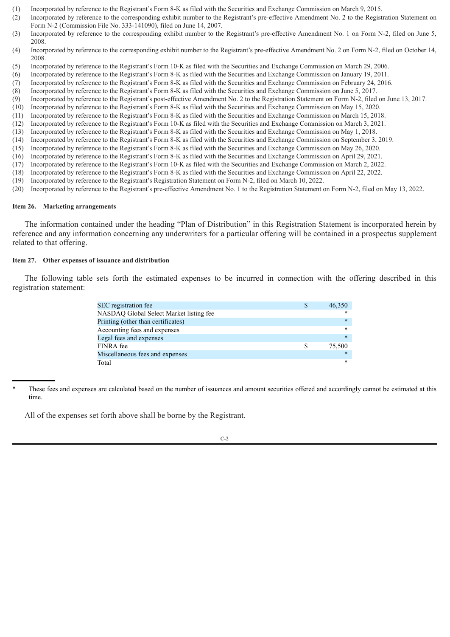- (1) Incorporated by reference to the Registrant's Form 8-K as filed with the Securities and Exchange Commission on March 9, 2015.
- (2) Incorporated by reference to the corresponding exhibit number to the Registrant's pre-effective Amendment No. 2 to the Registration Statement on Form N-2 (Commission File No. 333-141090), filed on June 14, 2007.
- (3) Incorporated by reference to the corresponding exhibit number to the Registrant's pre-effective Amendment No. 1 on Form N-2, filed on June 5, 2008.
- (4) Incorporated by reference to the corresponding exhibit number to the Registrant's pre-effective Amendment No. 2 on Form N-2, filed on October 14, 2008.
- (5) Incorporated by reference to the Registrant's Form 10-K as filed with the Securities and Exchange Commission on March 29, 2006.
- (6) Incorporated by reference to the Registrant's Form 8-K as filed with the Securities and Exchange Commission on January 19, 2011.
- (7) Incorporated by reference to the Registrant's Form 8-K as filed with the Securities and Exchange Commission on February 24, 2016.
- (8) Incorporated by reference to the Registrant's Form 8-K as filed with the Securities and Exchange Commission on June 5, 2017.
- (9) Incorporated by reference to the Registrant's post-effective Amendment No. 2 to the Registration Statement on Form N-2, filed on June 13, 2017.
- (10) Incorporated by reference to the Registrant's Form 8-K as filed with the Securities and Exchange Commission on May 15, 2020.
- (11) Incorporated by reference to the Registrant's Form 8-K as filed with the Securities and Exchange Commission on March 15, 2018.
- (12) Incorporated by reference to the Registrant's Form 10-K as filed with the Securities and Exchange Commission on March 3, 2021.
- (13) Incorporated by reference to the Registrant's Form 8-K as filed with the Securities and Exchange Commission on May 1, 2018.
- (14) Incorporated by reference to the Registrant's Form 8-K as filed with the Securities and Exchange Commission on September 3, 2019.
- (15) Incorporated by reference to the Registrant's Form 8-K as filed with the Securities and Exchange Commission on May 26, 2020.
- (16) Incorporated by reference to the Registrant's Form 8-K as filed with the Securities and Exchange Commission on April 29, 2021.
- (17) Incorporated by reference to the Registrant's Form 10-K as filed with the Securities and Exchange Commission on March 2, 2022.
- (18) Incorporated by reference to the Registrant's Form 8-K as filed with the Securities and Exchange Commission on April 22, 2022.
- (19) Incorporated by reference to the Registrant's Registration Statement on Form N-2, filed on March 10, 2022.
- (20) Incorporated by reference to the Registrant's pre-effective Amendment No. 1 to the Registration Statement on Form N-2, filed on May 13, 2022.

#### **Item 26. Marketing arrangements**

The information contained under the heading "Plan of Distribution" in this Registration Statement is incorporated herein by reference and any information concerning any underwriters for a particular offering will be contained in a prospectus supplement related to that offering.

#### **Item 27. Other expenses of issuance and distribution**

The following table sets forth the estimated expenses to be incurred in connection with the offering described in this registration statement:

| SEC registration fee                    | 46,350 |
|-----------------------------------------|--------|
| NASDAQ Global Select Market listing fee |        |
| Printing (other than certificates)      | $\ast$ |
| Accounting fees and expenses            | $\ast$ |
| Legal fees and expenses                 | $\ast$ |
| <b>FINRA</b> fee                        | 75,500 |
| Miscellaneous fees and expenses         | $\ast$ |
| Total                                   | *      |

These fees and expenses are calculated based on the number of issuances and amount securities offered and accordingly cannot be estimated at this time.

All of the expenses set forth above shall be borne by the Registrant.

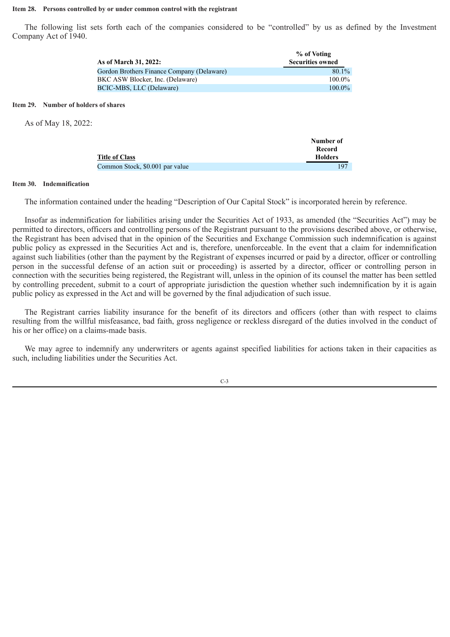#### **Item 28. Persons controlled by or under common control with the registrant**

The following list sets forth each of the companies considered to be "controlled" by us as defined by the Investment Company Act of 1940.

|                                                             | As of March 31, 2022:                      | % of Voting<br><b>Securities owned</b> |
|-------------------------------------------------------------|--------------------------------------------|----------------------------------------|
|                                                             | Gordon Brothers Finance Company (Delaware) | 80.1%                                  |
|                                                             | BKC ASW Blocker, Inc. (Delaware)           | 100.0%                                 |
|                                                             | BCIC-MBS, LLC (Delaware)                   | 100.0%                                 |
| Item 29. Number of holders of shares<br>As of May 18, 2022: |                                            |                                        |
|                                                             | <b>Title of Class</b>                      | Number of<br>Record<br><b>Holders</b>  |

#### **Item 30. Indemnification**

The information contained under the heading "Description of Our Capital Stock" is incorporated herein by reference.

Common Stock, \$0.001 par value 197

Insofar as indemnification for liabilities arising under the Securities Act of 1933, as amended (the "Securities Act") may be permitted to directors, officers and controlling persons of the Registrant pursuant to the provisions described above, or otherwise, the Registrant has been advised that in the opinion of the Securities and Exchange Commission such indemnification is against public policy as expressed in the Securities Act and is, therefore, unenforceable. In the event that a claim for indemnification against such liabilities (other than the payment by the Registrant of expenses incurred or paid by a director, officer or controlling person in the successful defense of an action suit or proceeding) is asserted by a director, officer or controlling person in connection with the securities being registered, the Registrant will, unless in the opinion of its counsel the matter has been settled by controlling precedent, submit to a court of appropriate jurisdiction the question whether such indemnification by it is again public policy as expressed in the Act and will be governed by the final adjudication of such issue.

The Registrant carries liability insurance for the benefit of its directors and officers (other than with respect to claims resulting from the willful misfeasance, bad faith, gross negligence or reckless disregard of the duties involved in the conduct of his or her office) on a claims-made basis.

We may agree to indemnify any underwriters or agents against specified liabilities for actions taken in their capacities as such, including liabilities under the Securities Act.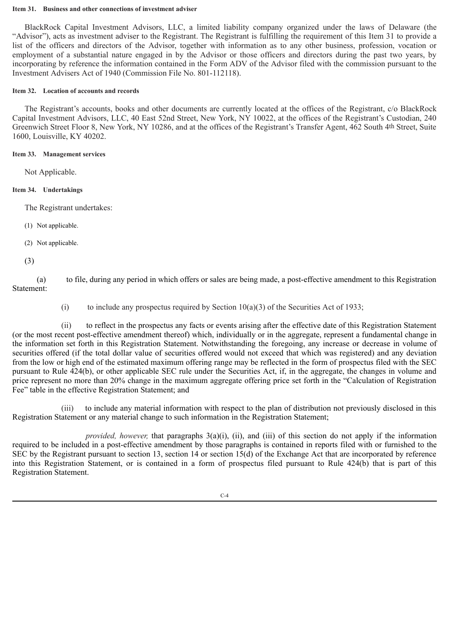#### **Item 31. Business and other connections of investment adviser**

BlackRock Capital Investment Advisors, LLC, a limited liability company organized under the laws of Delaware (the "Advisor"), acts as investment adviser to the Registrant. The Registrant is fulfilling the requirement of this Item 31 to provide a list of the officers and directors of the Advisor, together with information as to any other business, profession, vocation or employment of a substantial nature engaged in by the Advisor or those officers and directors during the past two years, by incorporating by reference the information contained in the Form ADV of the Advisor filed with the commission pursuant to the Investment Advisers Act of 1940 (Commission File No. 801-112118).

## **Item 32. Location of accounts and records**

The Registrant's accounts, books and other documents are currently located at the offices of the Registrant, c/o BlackRock Capital Investment Advisors, LLC, 40 East 52nd Street, New York, NY 10022, at the offices of the Registrant's Custodian, 240 Greenwich Street Floor 8, New York, NY 10286, and at the offices of the Registrant's Transfer Agent, 462 South 4th Street, Suite 1600, Louisville, KY 40202.

## **Item 33. Management services**

Not Applicable.

## **Item 34. Undertakings**

The Registrant undertakes:

- (1) Not applicable.
- (2) Not applicable.
- (3)

(a) to file, during any period in which offers or sales are being made, a post-effective amendment to this Registration Statement:

(i) to include any prospectus required by Section  $10(a)(3)$  of the Securities Act of 1933;

(ii) to reflect in the prospectus any facts or events arising after the effective date of this Registration Statement (or the most recent post-effective amendment thereof) which, individually or in the aggregate, represent a fundamental change in the information set forth in this Registration Statement. Notwithstanding the foregoing, any increase or decrease in volume of securities offered (if the total dollar value of securities offered would not exceed that which was registered) and any deviation from the low or high end of the estimated maximum offering range may be reflected in the form of prospectus filed with the SEC pursuant to Rule 424(b), or other applicable SEC rule under the Securities Act, if, in the aggregate, the changes in volume and price represent no more than 20% change in the maximum aggregate offering price set forth in the "Calculation of Registration Fee" table in the effective Registration Statement; and

(iii) to include any material information with respect to the plan of distribution not previously disclosed in this Registration Statement or any material change to such information in the Registration Statement;

*provided, however,* that paragraphs 3(a)(i), (ii), and (iii) of this section do not apply if the information required to be included in a post-effective amendment by those paragraphs is contained in reports filed with or furnished to the SEC by the Registrant pursuant to section 13, section 14 or section  $15(d)$  of the Exchange Act that are incorporated by reference into this Registration Statement, or is contained in a form of prospectus filed pursuant to Rule 424(b) that is part of this Registration Statement.

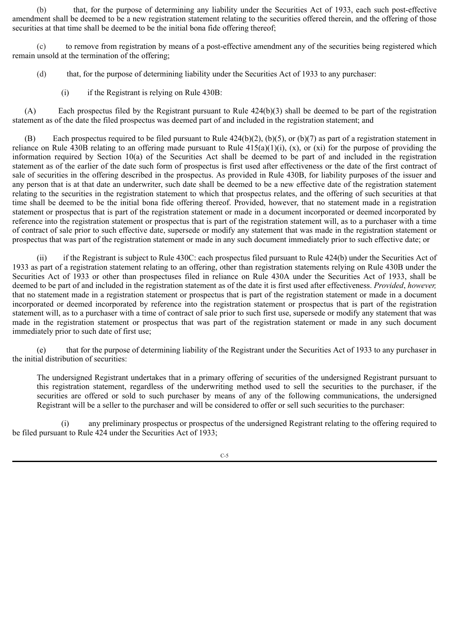(b) that, for the purpose of determining any liability under the Securities Act of 1933, each such post-effective amendment shall be deemed to be a new registration statement relating to the securities offered therein, and the offering of those securities at that time shall be deemed to be the initial bona fide offering thereof;

(c) to remove from registration by means of a post-effective amendment any of the securities being registered which remain unsold at the termination of the offering;

- (d) that, for the purpose of determining liability under the Securities Act of 1933 to any purchaser:
	- (i) if the Registrant is relying on Rule 430B:

(A) Each prospectus filed by the Registrant pursuant to Rule  $424(b)(3)$  shall be deemed to be part of the registration statement as of the date the filed prospectus was deemed part of and included in the registration statement; and

(B) Each prospectus required to be filed pursuant to Rule  $424(b)(2)$ ,  $(b)(5)$ , or  $(b)(7)$  as part of a registration statement in reliance on Rule  $\overline{430B}$  relating to an offering made pursuant to Rule  $\overline{415(a)(1)(i)}$ , (x), or (xi) for the purpose of providing the information required by Section 10(a) of the Securities Act shall be deemed to be part of and included in the registration statement as of the earlier of the date such form of prospectus is first used after effectiveness or the date of the first contract of sale of securities in the offering described in the prospectus. As provided in Rule 430B, for liability purposes of the issuer and any person that is at that date an underwriter, such date shall be deemed to be a new effective date of the registration statement relating to the securities in the registration statement to which that prospectus relates, and the offering of such securities at that time shall be deemed to be the initial bona fide offering thereof. Provided, however, that no statement made in a registration statement or prospectus that is part of the registration statement or made in a document incorporated or deemed incorporated by reference into the registration statement or prospectus that is part of the registration statement will, as to a purchaser with a time of contract of sale prior to such effective date, supersede or modify any statement that was made in the registration statement or prospectus that was part of the registration statement or made in any such document immediately prior to such effective date; or

(ii) if the Registrant is subject to Rule 430C: each prospectus filed pursuant to Rule 424(b) under the Securities Act of 1933 as part of a registration statement relating to an offering, other than registration statements relying on Rule 430B under the Securities Act of 1933 or other than prospectuses filed in reliance on Rule 430A under the Securities Act of 1933, shall be deemed to be part of and included in the registration statement as of the date it is first used after effectiveness. *Provided*, *however,* that no statement made in a registration statement or prospectus that is part of the registration statement or made in a document incorporated or deemed incorporated by reference into the registration statement or prospectus that is part of the registration statement will, as to a purchaser with a time of contract of sale prior to such first use, supersede or modify any statement that was made in the registration statement or prospectus that was part of the registration statement or made in any such document immediately prior to such date of first use;

(e) that for the purpose of determining liability of the Registrant under the Securities Act of 1933 to any purchaser in the initial distribution of securities:

The undersigned Registrant undertakes that in a primary offering of securities of the undersigned Registrant pursuant to this registration statement, regardless of the underwriting method used to sell the securities to the purchaser, if the securities are offered or sold to such purchaser by means of any of the following communications, the undersigned Registrant will be a seller to the purchaser and will be considered to offer or sell such securities to the purchaser:

(i) any preliminary prospectus or prospectus of the undersigned Registrant relating to the offering required to be filed pursuant to Rule 424 under the Securities Act of 1933;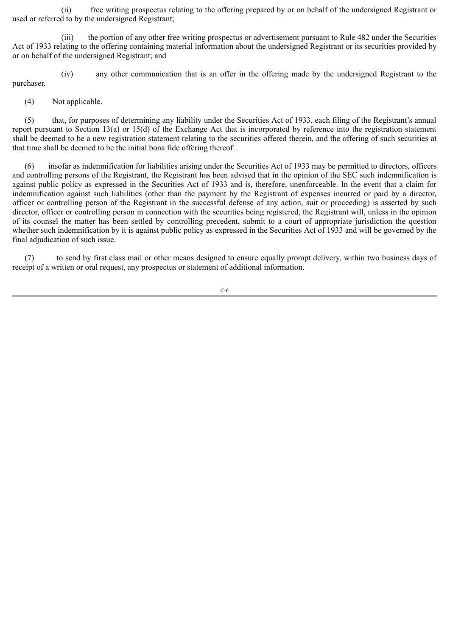(ii) free writing prospectus relating to the offering prepared by or on behalf of the undersigned Registrant or used or referred to by the undersigned Registrant;

(iii) the portion of any other free writing prospectus or advertisement pursuant to Rule 482 under the Securities Act of 1933 relating to the offering containing material information about the undersigned Registrant or its securities provided by or on behalf of the undersigned Registrant; and

(iv) any other communication that is an offer in the offering made by the undersigned Registrant to the purchaser.

(4) Not applicable.

(5) that, for purposes of determining any liability under the Securities Act of 1933, each filing of the Registrant's annual report pursuant to Section 13(a) or 15(d) of the Exchange Act that is incorporated by reference into the registration statement shall be deemed to be a new registration statement relating to the securities offered therein, and the offering of such securities at that time shall be deemed to be the initial bona fide offering thereof.

(6) insofar as indemnification for liabilities arising under the Securities Act of 1933 may be permitted to directors, officers and controlling persons of the Registrant, the Registrant has been advised that in the opinion of the SEC such indemnification is against public policy as expressed in the Securities Act of 1933 and is, therefore, unenforceable. In the event that a claim for indemnification against such liabilities (other than the payment by the Registrant of expenses incurred or paid by a director, officer or controlling person of the Registrant in the successful defense of any action, suit or proceeding) is asserted by such director, officer or controlling person in connection with the securities being registered, the Registrant will, unless in the opinion of its counsel the matter has been settled by controlling precedent, submit to a court of appropriate jurisdiction the question whether such indemnification by it is against public policy as expressed in the Securities Act of 1933 and will be governed by the final adjudication of such issue.

(7) to send by first class mail or other means designed to ensure equally prompt delivery, within two business days of receipt of a written or oral request, any prospectus or statement of additional information.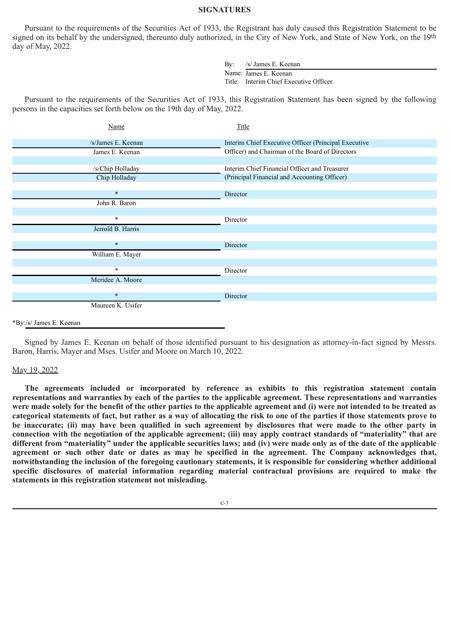#### **SIGNATURES**

Pursuant to the requirements of the Securities Act of 1933, the Registrant has duly caused this Registration Statement to be signed on its behalf by the undersigned, thereunto duly authorized, in the City of New York, and State of New York, on the 19th day of May, 2022.

> By: /s/ James E. Keenan Name: James E. Keenan Title: Interim Chief Executive Officer

Pursuant to the requirements of the Securities Act of 1933, this Registration Statement has been signed by the following persons in the capacities set forth below on the 19th day of May, 2022.

| Name               | Title                                                |
|--------------------|------------------------------------------------------|
| /s/James E. Keenan | Interim Chief Executive Officer (Principal Executive |
| James E. Keenan    | Officer) and Chairman of the Board of Directors      |
|                    |                                                      |
| /s/Chip Holladay   | Interim Chief Financial Officer and Treasurer        |
| Chip Holladay      | (Principal Financial and Accounting Officer)         |
|                    |                                                      |
| $\ast$             | Director                                             |
| John R. Baron      |                                                      |
|                    |                                                      |
| $\ast$             | Director                                             |
| Jerrold B. Harris  |                                                      |
|                    |                                                      |
| $\ast$             | Director                                             |
| William E. Mayer   |                                                      |
|                    |                                                      |
| $\ast$             | Director                                             |
| Meridee A. Moore   |                                                      |
|                    |                                                      |
| $\ast$             | Director                                             |
| Maureen K. Usifer  |                                                      |
|                    |                                                      |

#### \*By:/s/ James E. Keenan

Signed by James E. Keenan on behalf of those identified pursuant to his designation as attorney-in-fact signed by Messrs. Baron, Harris, Mayer and Mses. Usifer and Moore on March 10, 2022.

#### May 19, 2022

**The agreements included or incorporated by reference as exhibits to this registration statement contain representations and warranties by each of the parties to the applicable agreement. These representations and warranties were made solely for the benefit of the other parties to the applicable agreement and (i) were not intended to be treated as categorical statements of fact, but rather as a way of allocating the risk to one of the parties if those statements prove to be inaccurate; (ii) may have been qualified in such agreement by disclosures that were made to the other party in connection with the negotiation of the applicable agreement; (iii) may apply contract standards of "materiality" that are different from "materiality" under the applicable securities laws; and (iv) were made only as of the date of the applicable agreement or such other date or dates as may be specified in the agreement. The Company acknowledges that, notwithstanding the inclusion of the foregoing cautionary statements, it is responsible for considering whether additional specific disclosures of material information regarding material contractual provisions are required to make the statements in this registration statement not misleading.**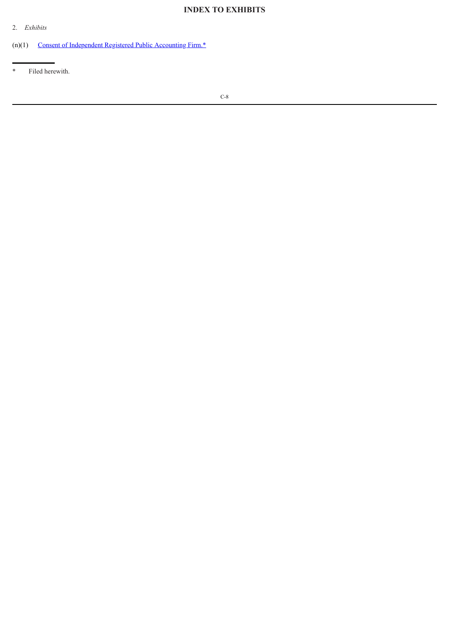# **INDEX TO EXHIBITS**

2. *Exhibits*

(n)(1) Consent of [Independent](#page-11-0) Registered Public Accounting Firm.\*

\* Filed herewith.